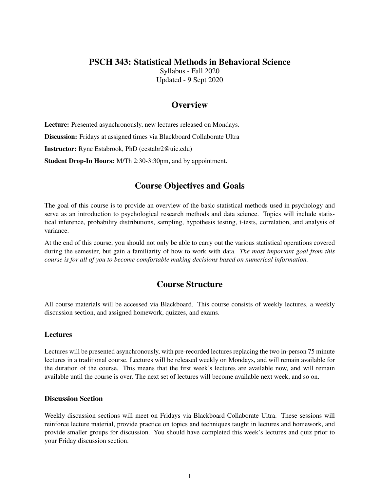### PSCH 343: Statistical Methods in Behavioral Science

Syllabus - Fall 2020 Updated - 9 Sept 2020

### **Overview**

Lecture: Presented asynchronously, new lectures released on Mondays.

Discussion: Fridays at assigned times via Blackboard Collaborate Ultra

Instructor: Ryne Estabrook, PhD (cestabr2@uic.edu)

Student Drop-In Hours: M/Th 2:30-3:30pm, and by appointment.

### Course Objectives and Goals

The goal of this course is to provide an overview of the basic statistical methods used in psychology and serve as an introduction to psychological research methods and data science. Topics will include statistical inference, probability distributions, sampling, hypothesis testing, t-tests, correlation, and analysis of variance.

At the end of this course, you should not only be able to carry out the various statistical operations covered during the semester, but gain a familiarity of how to work with data. *The most important goal from this course is for all of you to become comfortable making decisions based on numerical information.*

## Course Structure

All course materials will be accessed via Blackboard. This course consists of weekly lectures, a weekly discussion section, and assigned homework, quizzes, and exams.

#### **Lectures**

Lectures will be presented asynchronously, with pre-recorded lectures replacing the two in-person 75 minute lectures in a traditional course. Lectures will be released weekly on Mondays, and will remain available for the duration of the course. This means that the first week's lectures are available now, and will remain available until the course is over. The next set of lectures will become available next week, and so on.

#### Discussion Section

Weekly discussion sections will meet on Fridays via Blackboard Collaborate Ultra. These sessions will reinforce lecture material, provide practice on topics and techniques taught in lectures and homework, and provide smaller groups for discussion. You should have completed this week's lectures and quiz prior to your Friday discussion section.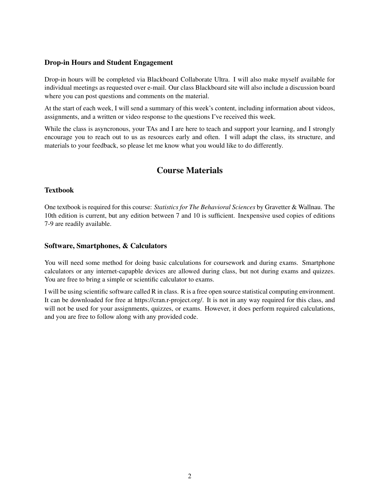#### Drop-in Hours and Student Engagement

Drop-in hours will be completed via Blackboard Collaborate Ultra. I will also make myself available for individual meetings as requested over e-mail. Our class Blackboard site will also include a discussion board where you can post questions and comments on the material.

At the start of each week, I will send a summary of this week's content, including information about videos, assignments, and a written or video response to the questions I've received this week.

While the class is asyncronous, your TAs and I are here to teach and support your learning, and I strongly encourage you to reach out to us as resources early and often. I will adapt the class, its structure, and materials to your feedback, so please let me know what you would like to do differently.

## Course Materials

#### Textbook

One textbook is required for this course: *Statistics for The Behavioral Sciences* by Gravetter & Wallnau. The 10th edition is current, but any edition between 7 and 10 is sufficient. Inexpensive used copies of editions 7-9 are readily available.

#### Software, Smartphones, & Calculators

You will need some method for doing basic calculations for coursework and during exams. Smartphone calculators or any internet-capapble devices are allowed during class, but not during exams and quizzes. You are free to bring a simple or scientific calculator to exams.

I will be using scientific software called R in class. R is a free open source statistical computing environment. It can be downloaded for free at https://cran.r-project.org/. It is not in any way required for this class, and will not be used for your assignments, quizzes, or exams. However, it does perform required calculations, and you are free to follow along with any provided code.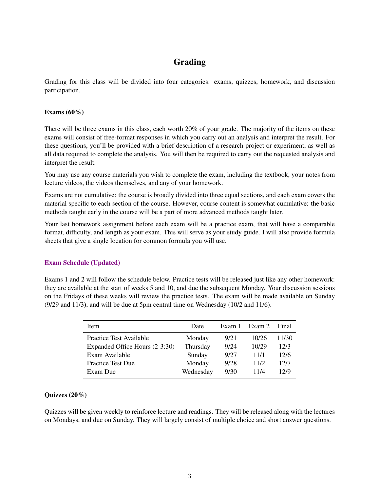# Grading

Grading for this class will be divided into four categories: exams, quizzes, homework, and discussion participation.

#### Exams  $(60\%)$

There will be three exams in this class, each worth 20% of your grade. The majority of the items on these exams will consist of free-format responses in which you carry out an analysis and interpret the result. For these questions, you'll be provided with a brief description of a research project or experiment, as well as all data required to complete the analysis. You will then be required to carry out the requested analysis and interpret the result.

You may use any course materials you wish to complete the exam, including the textbook, your notes from lecture videos, the videos themselves, and any of your homework.

Exams are not cumulative: the course is broadly divided into three equal sections, and each exam covers the material specific to each section of the course. However, course content is somewhat cumulative: the basic methods taught early in the course will be a part of more advanced methods taught later.

Your last homework assignment before each exam will be a practice exam, that will have a comparable format, difficulty, and length as your exam. This will serve as your study guide. I will also provide formula sheets that give a single location for common formula you will use.

#### Exam Schedule (Updated)

Exams 1 and 2 will follow the schedule below. Practice tests will be released just like any other homework: they are available at the start of weeks 5 and 10, and due the subsequent Monday. Your discussion sessions on the Fridays of these weeks will review the practice tests. The exam will be made available on Sunday (9/29 and 11/3), and will be due at 5pm central time on Wednesday (10/2 and 11/6).

| <b>Item</b>                    | Date      | Exam 1 | Exam 2 | Final |
|--------------------------------|-----------|--------|--------|-------|
| Practice Test Available        | Monday    | 9/21   | 10/26  | 11/30 |
| Expanded Office Hours (2-3:30) | Thursday  | 9/24   | 10/29  | 12/3  |
| Exam Available                 | Sunday    | 9/27   | 11/1   | 12/6  |
| <b>Practice Test Due</b>       | Monday    | 9/28   | 11/2   | 12/7  |
| Exam Due                       | Wednesday | 9/30   | 11/4   | 12/9  |

#### Quizzes (20%)

Quizzes will be given weekly to reinforce lecture and readings. They will be released along with the lectures on Mondays, and due on Sunday. They will largely consist of multiple choice and short answer questions.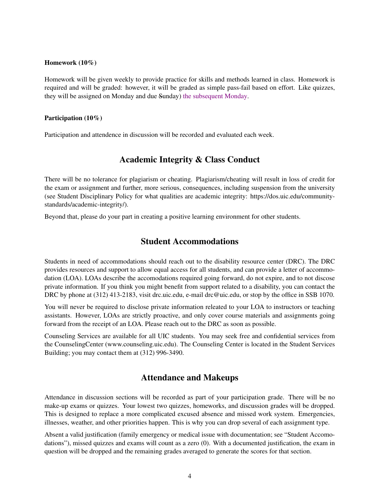#### Homework (10%)

Homework will be given weekly to provide practice for skills and methods learned in class. Homework is required and will be graded: however, it will be graded as simple pass-fail based on effort. Like quizzes, they will be assigned on Monday and due Sunday) the subsequent Monday.

#### Participation (10%)

Participation and attendence in discussion will be recorded and evaluated each week.

### Academic Integrity & Class Conduct

There will be no tolerance for plagiarism or cheating. Plagiarism/cheating will result in loss of credit for the exam or assignment and further, more serious, consequences, including suspension from the university (see Student Disciplinary Policy for what qualities are academic integrity: https://dos.uic.edu/communitystandards/academic-integrity/).

Beyond that, please do your part in creating a positive learning environment for other students.

### Student Accommodations

Students in need of accommodations should reach out to the disability resource center (DRC). The DRC provides resources and support to allow equal access for all students, and can provide a letter of accommodation (LOA). LOAs describe the accomodations required going forward, do not expire, and to not discose private information. If you think you might benefit from support related to a disability, you can contact the DRC by phone at (312) 413-2183, visit drc.uic.edu, e-mail drc@uic.edu, or stop by the office in SSB 1070.

You will never be required to disclose private information releated to your LOA to instructors or teaching assistants. However, LOAs are strictly proactive, and only cover course materials and assignments going forward from the receipt of an LOA. Please reach out to the DRC as soon as possible.

Counseling Services are available for all UIC students. You may seek free and confidential services from the CounselingCenter (www.counseling.uic.edu). The Counseling Center is located in the Student Services Building; you may contact them at (312) 996-3490.

### Attendance and Makeups

Attendance in discussion sections will be recorded as part of your participation grade. There will be no make-up exams or quizzes. Your lowest two quizzes, homeworks, and discussion grades will be dropped. This is designed to replace a more complicated excused absence and missed work system. Emergencies, illnesses, weather, and other priorities happen. This is why you can drop several of each assignment type.

Absent a valid justification (family emergency or medical issue with documentation; see "Student Accomodations"), missed quizzes and exams will count as a zero (0). With a documented justification, the exam in question will be dropped and the remaining grades averaged to generate the scores for that section.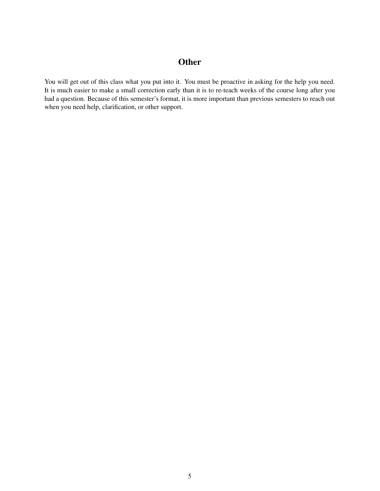## **Other**

You will get out of this class what you put into it. You must be proactive in asking for the help you need. It is much easier to make a small correction early than it is to re-teach weeks of the course long after you had a question. Because of this semester's format, it is more important than previous semesters to reach out when you need help, clarification, or other support.